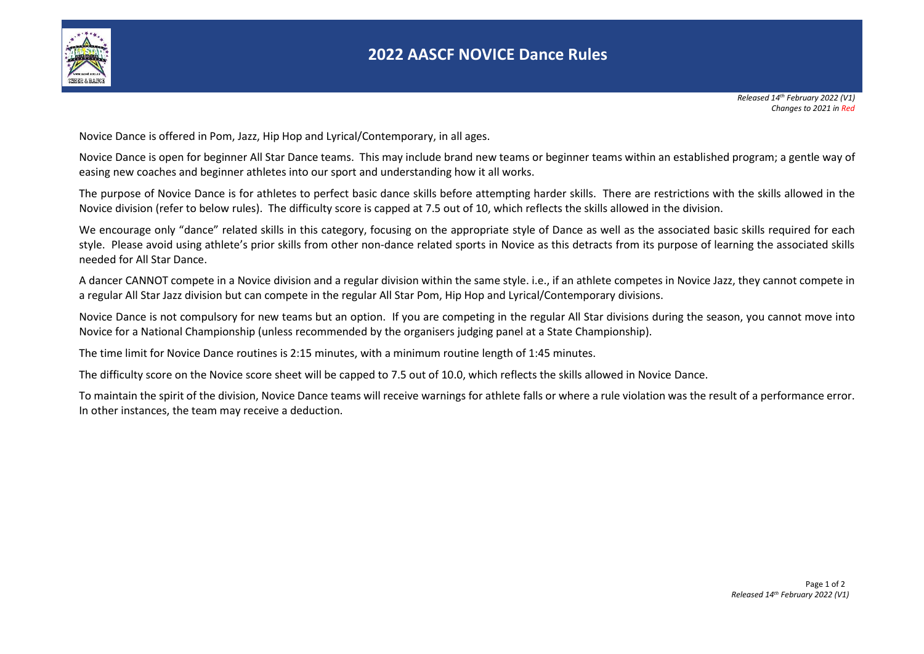

## **2022 AASCF NOVICE Dance Rules**

Novice Dance is offered in Pom, Jazz, Hip Hop and Lyrical/Contemporary, in all ages.

Novice Dance is open for beginner All Star Dance teams. This may include brand new teams or beginner teams within an established program; a gentle way of easing new coaches and beginner athletes into our sport and understanding how it all works.

The purpose of Novice Dance is for athletes to perfect basic dance skills before attempting harder skills. There are restrictions with the skills allowed in the Novice division (refer to below rules). The difficulty score is capped at 7.5 out of 10, which reflects the skills allowed in the division.

We encourage only "dance" related skills in this category, focusing on the appropriate style of Dance as well as the associated basic skills required for each style. Please avoid using athlete's prior skills from other non-dance related sports in Novice as this detracts from its purpose of learning the associated skills needed for All Star Dance.

A dancer CANNOT compete in a Novice division and a regular division within the same style. i.e., if an athlete competes in Novice Jazz, they cannot compete in a regular All Star Jazz division but can compete in the regular All Star Pom, Hip Hop and Lyrical/Contemporary divisions.

Novice Dance is not compulsory for new teams but an option. If you are competing in the regular All Star divisions during the season, you cannot move into Novice for a National Championship (unless recommended by the organisers judging panel at a State Championship).

The time limit for Novice Dance routines is 2:15 minutes, with a minimum routine length of 1:45 minutes.

The difficulty score on the Novice score sheet will be capped to 7.5 out of 10.0, which reflects the skills allowed in Novice Dance.

To maintain the spirit of the division, Novice Dance teams will receive warnings for athlete falls or where a rule violation was the result of a performance error. In other instances, the team may receive a deduction.